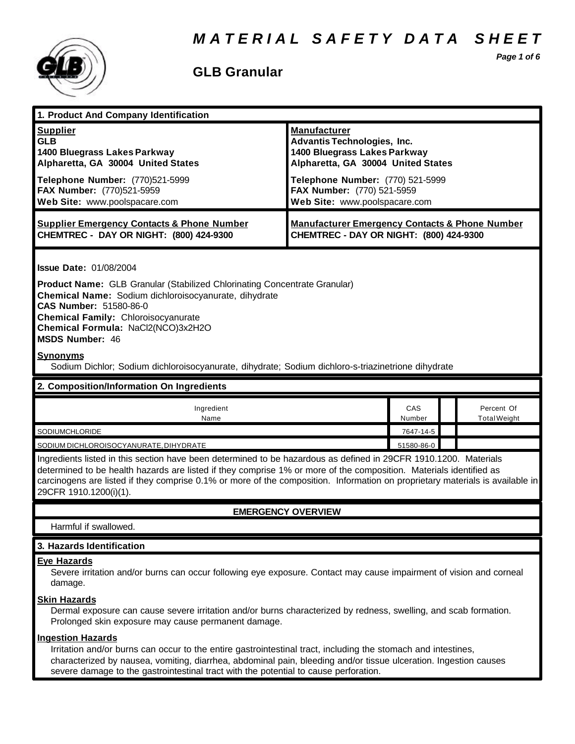

### **GLB Granular**

*Page 1 of 6*

| 1. Product And Company Identification                                                                                                                                                                                                                                                                                                                                                                                                |                                                                                                                                                                                                                                    |               |                                   |  |
|--------------------------------------------------------------------------------------------------------------------------------------------------------------------------------------------------------------------------------------------------------------------------------------------------------------------------------------------------------------------------------------------------------------------------------------|------------------------------------------------------------------------------------------------------------------------------------------------------------------------------------------------------------------------------------|---------------|-----------------------------------|--|
| <b>Supplier</b><br><b>GLB</b><br>1400 Bluegrass Lakes Parkway<br>Alpharetta, GA 30004 United States<br>Telephone Number: (770)521-5999<br>FAX Number: (770)521-5959<br>Web Site: www.poolspacare.com                                                                                                                                                                                                                                 | <b>Manufacturer</b><br><b>Advantis Technologies, Inc.</b><br>1400 Bluegrass Lakes Parkway<br>Alpharetta, GA 30004 United States<br>Telephone Number: (770) 521-5999<br>FAX Number: (770) 521-5959<br>Web Site: www.poolspacare.com |               |                                   |  |
| <b>Supplier Emergency Contacts &amp; Phone Number</b><br>CHEMTREC - DAY OR NIGHT: (800) 424-9300                                                                                                                                                                                                                                                                                                                                     | <b>Manufacturer Emergency Contacts &amp; Phone Number</b><br>CHEMTREC - DAY OR NIGHT: (800) 424-9300                                                                                                                               |               |                                   |  |
| <b>Issue Date: 01/08/2004</b><br>Product Name: GLB Granular (Stabilized Chlorinating Concentrate Granular)<br>Chemical Name: Sodium dichloroisocyanurate, dihydrate<br>CAS Number: 51580-86-0<br><b>Chemical Family: Chloroisocyanurate</b><br>Chemical Formula: NaCl2(NCO)3x2H2O<br><b>MSDS Number: 46</b><br><b>Synonyms</b><br>Sodium Dichlor; Sodium dichloroisocyanurate, dihydrate; Sodium dichloro-s-triazinetrione dihydrate |                                                                                                                                                                                                                                    |               |                                   |  |
| 2. Composition/Information On Ingredients                                                                                                                                                                                                                                                                                                                                                                                            |                                                                                                                                                                                                                                    |               |                                   |  |
| Ingredient<br>Name                                                                                                                                                                                                                                                                                                                                                                                                                   |                                                                                                                                                                                                                                    | CAS<br>Number | Percent Of<br><b>Total Weight</b> |  |
| SODIUMCHLORIDE                                                                                                                                                                                                                                                                                                                                                                                                                       |                                                                                                                                                                                                                                    | 7647-14-5     |                                   |  |
| SODIUM DICHLOROISOCYANURATE, DIHYDRATE                                                                                                                                                                                                                                                                                                                                                                                               |                                                                                                                                                                                                                                    | 51580-86-0    |                                   |  |
| Ingredients listed in this section have been determined to be hazardous as defined in 29CFR 1910.1200. Materials<br>determined to be health hazards are listed if they comprise 1% or more of the composition. Materials identified as<br>carcinogens are listed if they comprise 0.1% or more of the composition. Information on proprietary materials is available in<br>29CFR 1910.1200(i)(1).                                    |                                                                                                                                                                                                                                    |               |                                   |  |
| <b>EMERGENCY OVERVIEW</b>                                                                                                                                                                                                                                                                                                                                                                                                            |                                                                                                                                                                                                                                    |               |                                   |  |
|                                                                                                                                                                                                                                                                                                                                                                                                                                      |                                                                                                                                                                                                                                    |               |                                   |  |
| Harmful if swallowed.                                                                                                                                                                                                                                                                                                                                                                                                                |                                                                                                                                                                                                                                    |               |                                   |  |
| 3. Hazards Identification                                                                                                                                                                                                                                                                                                                                                                                                            |                                                                                                                                                                                                                                    |               |                                   |  |
| <b>Eye Hazards</b><br>Severe irritation and/or burns can occur following eye exposure. Contact may cause impairment of vision and corneal<br>damage.<br><b>Skin Hazards</b><br>Dermal exposure can cause severe irritation and/or burns characterized by redness, swelling, and scab formation.<br>Prolonged skin exposure may cause permanent damage.                                                                               |                                                                                                                                                                                                                                    |               |                                   |  |

/or burns can occur to the entire gastrointestinal tract, including the stomach and intestines, characterized by nausea, vomiting, diarrhea, abdominal pain, bleeding and/or tissue ulceration. Ingestion causes severe damage to the gastrointestinal tract with the potential to cause perforation.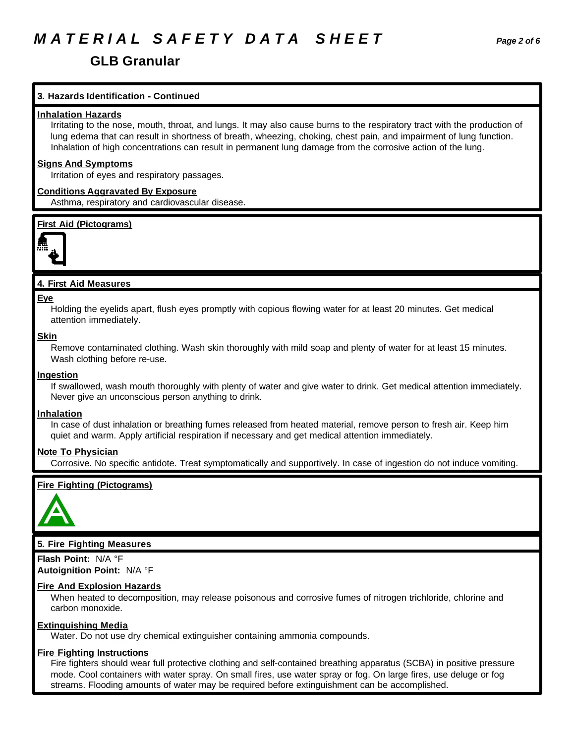## *M A T E R I A L S A F E T Y D A T A S H E E T Page 2 of 6*

### **GLB Granular**

### **3. Hazards Identification - Continued**

### **Inhalation Hazards**

Irritating to the nose, mouth, throat, and lungs. It may also cause burns to the respiratory tract with the production of lung edema that can result in shortness of breath, wheezing, choking, chest pain, and impairment of lung function. Inhalation of high concentrations can result in permanent lung damage from the corrosive action of the lung.

### **Signs And Symptoms**

Irritation of eyes and respiratory passages.

### **Conditions Aggravated By Exposure**

Asthma, respiratory and cardiovascular disease.

### **First Aid (Pictograms)**



### **4. First Aid Measures**

#### **Eye**

Holding the eyelids apart, flush eyes promptly with copious flowing water for at least 20 minutes. Get medical attention immediately.

#### **Skin**

Remove contaminated clothing. Wash skin thoroughly with mild soap and plenty of water for at least 15 minutes. Wash clothing before re-use.

### **Ingestion**

If swallowed, wash mouth thoroughly with plenty of water and give water to drink. Get medical attention immediately. Never give an unconscious person anything to drink.

### **Inhalation**

In case of dust inhalation or breathing fumes released from heated material, remove person to fresh air. Keep him quiet and warm. Apply artificial respiration if necessary and get medical attention immediately.

### **Note To Physician**

Corrosive. No specific antidote. Treat symptomatically and supportively. In case of ingestion do not induce vomiting.

### **Fire Fighting (Pictograms)**



### **5. Fire Fighting Measures**

**Flash Point:** N/A °F **Autoignition Point:** N/A °F

### **Fire And Explosion Hazards**

When heated to decomposition, may release poisonous and corrosive fumes of nitrogen trichloride, chlorine and carbon monoxide.

### **Extinguishing Media**

Water. Do not use dry chemical extinguisher containing ammonia compounds.

### **Fire Fighting Instructions**

Fire fighters should wear full protective clothing and self-contained breathing apparatus (SCBA) in positive pressure mode. Cool containers with water spray. On small fires, use water spray or fog. On large fires, use deluge or fog streams. Flooding amounts of water may be required before extinguishment can be accomplished.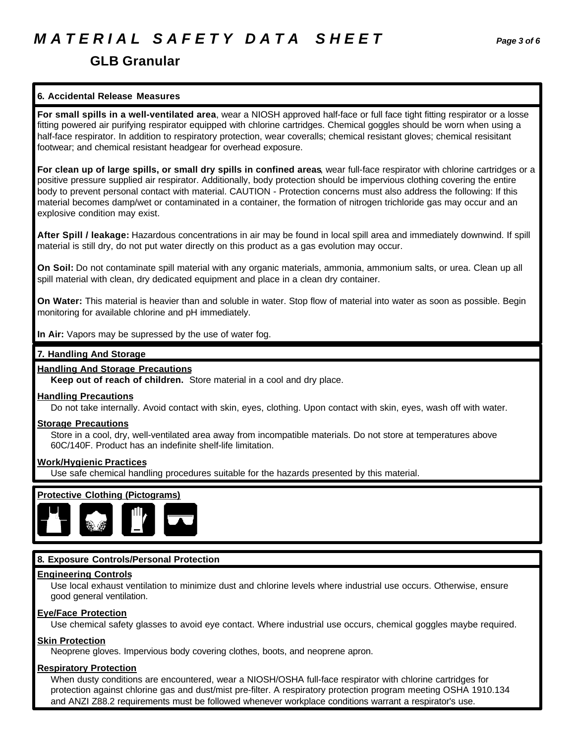# *M A T E R I A L S A F E T Y D A T A S H E E T Page 3 of 6*

### **6. Accidental Release Measures**

**For small spills in a well-ventilated area**, wear a NIOSH approved half-face or full face tight fitting respirator or a losse fitting powered air purifying respirator equipped with chlorine cartridges. Chemical goggles should be worn when using a half-face respirator. In addition to respiratory protection, wear coveralls; chemical resistant gloves; chemical resisitant footwear; and chemical resistant headgear for overhead exposure.

**For clean up of large spills, or small dry spills in confined areas**, wear full-face respirator with chlorine cartridges or a positive pressure supplied air respirator. Additionally, body protection should be impervious clothing covering the entire body to prevent personal contact with material. CAUTION - Protection concerns must also address the following: If this material becomes damp/wet or contaminated in a container, the formation of nitrogen trichloride gas may occur and an explosive condition may exist.

**After Spill / leakage:** Hazardous concentrations in air may be found in local spill area and immediately downwind. If spill material is still dry, do not put water directly on this product as a gas evolution may occur.

**On Soil:** Do not contaminate spill material with any organic materials, ammonia, ammonium salts, or urea. Clean up all spill material with clean, dry dedicated equipment and place in a clean dry container.

**On Water:** This material is heavier than and soluble in water. Stop flow of material into water as soon as possible. Begin monitoring for available chlorine and pH immediately.

**In Air:** Vapors may be supressed by the use of water fog.

### **7. Handling And Storage**

### **Handling And Storage Precautions**

**Keep out of reach of children.** Store material in a cool and dry place.

### **Handling Precautions**

Do not take internally. Avoid contact with skin, eyes, clothing. Upon contact with skin, eyes, wash off with water.

### **Storage Precautions**

Store in a cool, dry, well-ventilated area away from incompatible materials. Do not store at temperatures above 60C/140F. Product has an indefinite shelf-life limitation.

### **Work/Hygienic Practices**

Use safe chemical handling procedures suitable for the hazards presented by this material.



### **8. Exposure Controls/Personal Protection**

### **Engineering Controls**

Use local exhaust ventilation to minimize dust and chlorine levels where industrial use occurs. Otherwise, ensure good general ventilation.

### **Eye/Face Protection**

Use chemical safety glasses to avoid eye contact. Where industrial use occurs, chemical goggles maybe required.

### **Skin Protection**

Neoprene gloves. Impervious body covering clothes, boots, and neoprene apron.

### **Respiratory Protection**

When dusty conditions are encountered, wear a NIOSH/OSHA full-face respirator with chlorine cartridges for protection against chlorine gas and dust/mist pre-filter. A respiratory protection program meeting OSHA 1910.134 and ANZI Z88.2 requirements must be followed whenever workplace conditions warrant a respirator's use.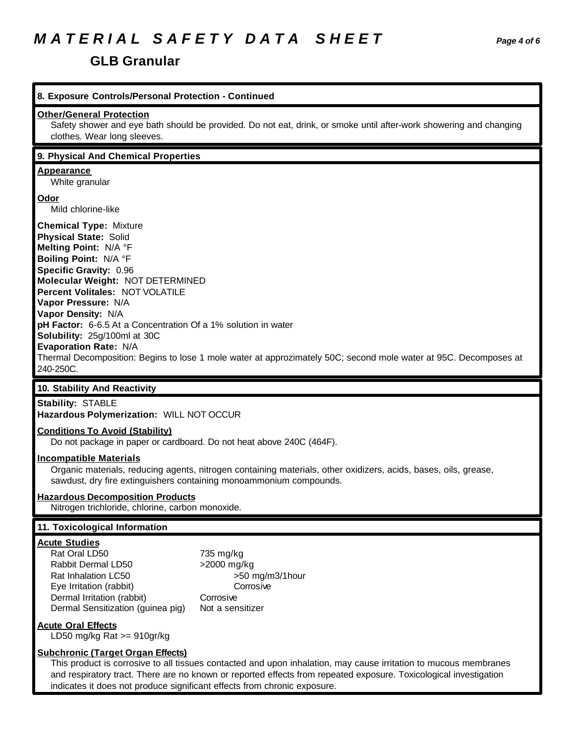# *M A T E R I A L S A F E T Y D A T A S H E E T Page 4 of 6*

### **GLB Granular**

| 8. Exposure Controls/Personal Protection - Continued                                                                                                                                                                                                                                                                                                                                                                                                                                                                     |  |
|--------------------------------------------------------------------------------------------------------------------------------------------------------------------------------------------------------------------------------------------------------------------------------------------------------------------------------------------------------------------------------------------------------------------------------------------------------------------------------------------------------------------------|--|
| <b>Other/General Protection</b><br>Safety shower and eye bath should be provided. Do not eat, drink, or smoke until after-work showering and changing<br>clothes. Wear long sleeves.                                                                                                                                                                                                                                                                                                                                     |  |
| 9. Physical And Chemical Properties                                                                                                                                                                                                                                                                                                                                                                                                                                                                                      |  |
| <b>Appearance</b><br>White granular                                                                                                                                                                                                                                                                                                                                                                                                                                                                                      |  |
| <b>Odor</b><br>Mild chlorine-like                                                                                                                                                                                                                                                                                                                                                                                                                                                                                        |  |
| <b>Chemical Type: Mixture</b><br><b>Physical State: Solid</b><br>Melting Point: N/A °F<br>Boiling Point: N/A °F<br>Specific Gravity: 0.96<br>Molecular Weight: NOT DETERMINED<br>Percent Volitales: NOT VOLATILE<br>Vapor Pressure: N/A<br>Vapor Density: N/A<br>pH Factor: 6-6.5 At a Concentration Of a 1% solution in water<br>Solubility: 25g/100ml at 30C<br>Evaporation Rate: N/A<br>Thermal Decomposition: Begins to lose 1 mole water at approzimately 50C; second mole water at 95C. Decomposes at<br>240-250C. |  |
| 10. Stability And Reactivity                                                                                                                                                                                                                                                                                                                                                                                                                                                                                             |  |
| <b>Stability: STABLE</b><br>Hazardous Polymerization: WILL NOT OCCUR                                                                                                                                                                                                                                                                                                                                                                                                                                                     |  |
| <b>Conditions To Avoid (Stability)</b><br>Do not package in paper or cardboard. Do not heat above 240C (464F).                                                                                                                                                                                                                                                                                                                                                                                                           |  |
| <b>Incompatible Materials</b><br>Organic materials, reducing agents, nitrogen containing materials, other oxidizers, acids, bases, oils, grease,<br>sawdust, dry fire extinguishers containing monoammonium compounds.                                                                                                                                                                                                                                                                                                   |  |
| <b>Hazardous Decomposition Products</b><br>Nitrogen trichloride, chlorine, carbon monoxide.                                                                                                                                                                                                                                                                                                                                                                                                                              |  |
| 11. Toxicological Information                                                                                                                                                                                                                                                                                                                                                                                                                                                                                            |  |
| <b>Acute Studies</b><br>Rat Oral LD50<br>735 mg/kg<br>Rabbit Dermal LD50<br>>2000 mg/kg<br>Rat Inhalation LC50<br>>50 mg/m3/1hour<br>Corrosive<br>Eye Irritation (rabbit)<br>Corrosive<br>Dermal Irritation (rabbit)<br>Dermal Sensitization (guinea pig)<br>Not a sensitizer                                                                                                                                                                                                                                            |  |
| <b>Acute Oral Effects</b><br>LD50 mg/kg Rat $>= 910$ gr/kg                                                                                                                                                                                                                                                                                                                                                                                                                                                               |  |
| <b>Subchronic (Target Organ Effects)</b><br>This product is corrosive to all tissues contacted and upon inhalation, may cause irritation to mucous membranes<br>and respiratory tract. There are no known or reported effects from repeated exposure. Toxicological investigation<br>indicates it does not produce significant effects from chronic exposure.                                                                                                                                                            |  |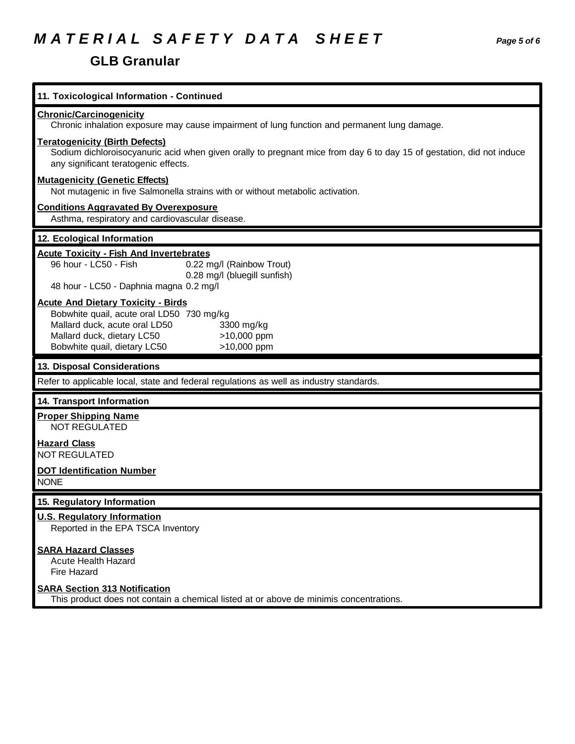# *M A T E R I A L S A F E T Y D A T A S H E E T Page 5 of 6*

### **GLB Granular**

| 11. Toxicological Information - Continued                                                                                                                                                             |
|-------------------------------------------------------------------------------------------------------------------------------------------------------------------------------------------------------|
| <b>Chronic/Carcinogenicity</b><br>Chronic inhalation exposure may cause impairment of lung function and permanent lung damage.                                                                        |
| <b>Teratogenicity (Birth Defects)</b><br>Sodium dichloroisocyanuric acid when given orally to pregnant mice from day 6 to day 15 of gestation, did not induce<br>any significant teratogenic effects. |
| <b>Mutagenicity (Genetic Effects)</b><br>Not mutagenic in five Salmonella strains with or without metabolic activation.                                                                               |
| <b>Conditions Aggravated By Overexposure</b><br>Asthma, respiratory and cardiovascular disease.                                                                                                       |
| 12. Ecological Information                                                                                                                                                                            |
| <b>Acute Toxicity - Fish And Invertebrates</b><br>96 hour - LC50 - Fish<br>0.22 mg/l (Rainbow Trout)<br>0.28 mg/l (bluegill sunfish)<br>48 hour - LC50 - Daphnia magna 0.2 mg/l                       |
| <b>Acute And Dietary Toxicity - Birds</b><br>Bobwhite quail, acute oral LD50 730 mg/kg                                                                                                                |
| Mallard duck, acute oral LD50<br>3300 mg/kg<br>Mallard duck, dietary LC50<br>>10,000 ppm<br>Bobwhite quail, dietary LC50<br>>10,000 ppm                                                               |
| 13. Disposal Considerations                                                                                                                                                                           |
| Refer to applicable local, state and federal regulations as well as industry standards.                                                                                                               |
| 14. Transport Information                                                                                                                                                                             |
| <b>Proper Shipping Name</b><br><b>NOT REGULATED</b>                                                                                                                                                   |
| <b>Hazard Class</b><br><b>NOT REGULATED</b>                                                                                                                                                           |
| <b>DOT Identification Number</b><br><b>NONE</b>                                                                                                                                                       |
| 15. Regulatory Information                                                                                                                                                                            |
| <b>U.S. Regulatory Information</b><br>Reported in the EPA TSCA Inventory                                                                                                                              |
| <b>SARA Hazard Classes</b><br><b>Acute Health Hazard</b><br>Fire Hazard                                                                                                                               |
| <b>SARA Section 313 Notification</b><br>This product does not contain a chemical listed at or above de minimis concentrations.                                                                        |